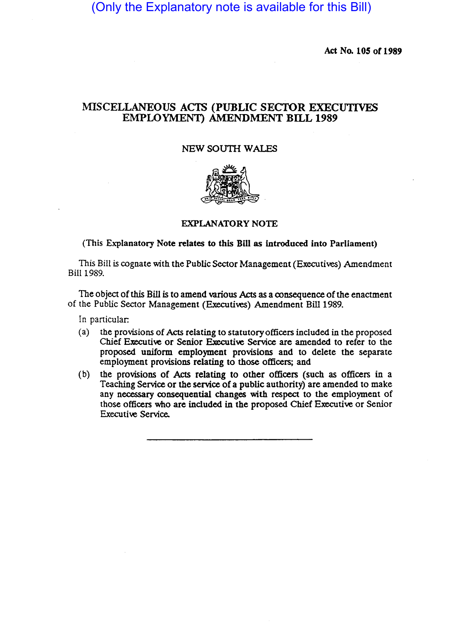(Only the Explanatory note is available for this Bill)

Act No. 105 of 1989

## MISCELLANEOUS ACTS (PUBLIC SECTOR EXECUTIVES EMPLOYMENT) AMENDMENT BILL 1989

## NEW SOUTH WALES



## EXPLANATORY NOTE

(This Explanatory Note relates to this Bill as introduced into Parliament)

This Bill is cognate with the Public Sector Management (Executives) Amendment Bill 1989.

The Object of this Bill is to amend various Acts as a consequence of the enactment of the Public Sector Management (Executives) Amendment Bill 1989.

In particular:

- (a) the provisions of Acts relating to statutory officers included in the proposed Chief Executive or Senior Executive Service are amended to refer to the proposed uniform employment provisions and to delete the separate employment provisions relating to those officers; and
- (b) the provisiOns of Acts relating to other officers (such as officers in a Teaching Service or the service of a public authority) are amended to make any necessary consequential changes with respect to the employment of those officers who are included in the proposed Chief Executive or Senior Executive Service.